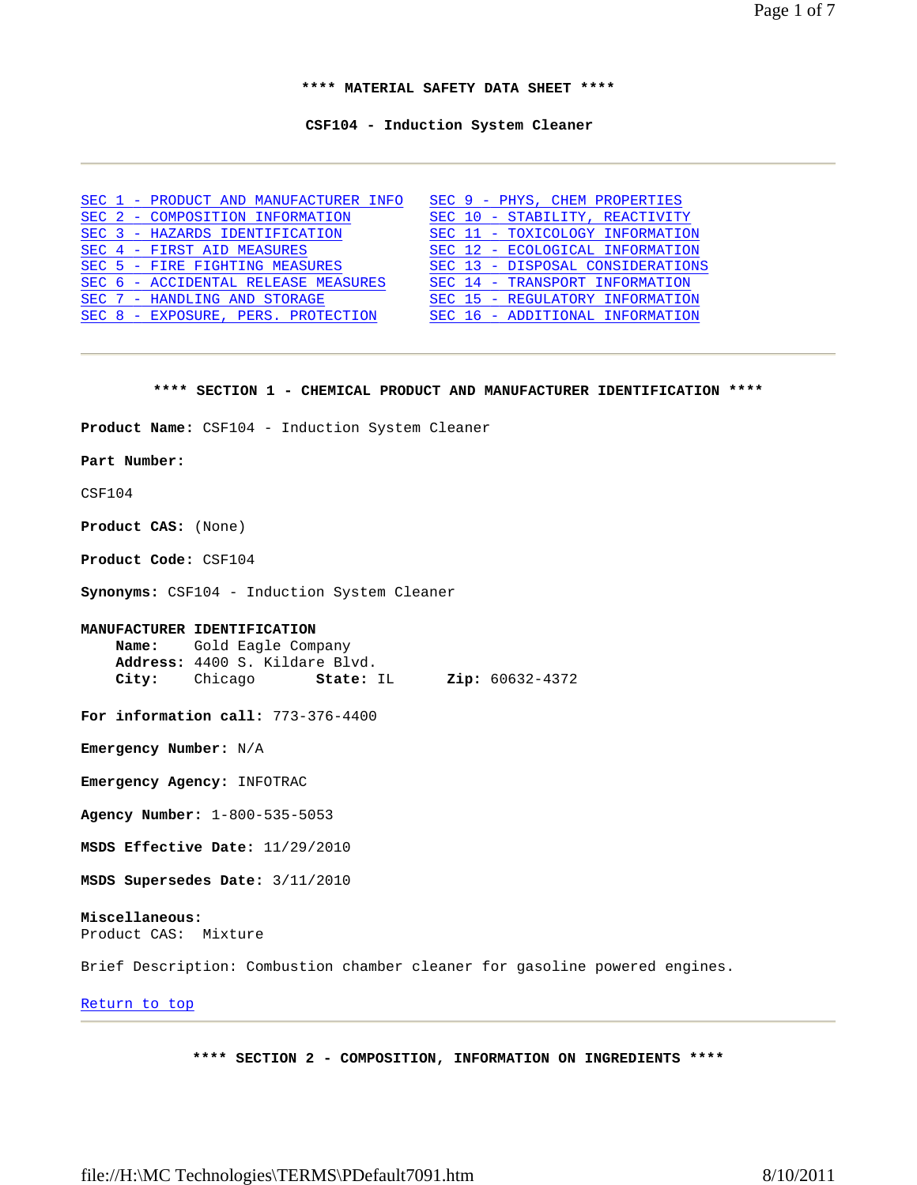Page 1 of 7

**\*\*\*\* MATERIAL SAFETY DATA SHEET \*\*\*\*** 

**CSF104 - Induction System Cleaner** 

|  | SEC 1 - PRODUCT AND MANUFACTURER INFO | SEC 9 - PHYS, CHEM PROPERTIES    |
|--|---------------------------------------|----------------------------------|
|  | SEC 2 - COMPOSITION INFORMATION       | SEC 10 - STABILITY, REACTIVITY   |
|  | SEC 3 - HAZARDS IDENTIFICATION        | SEC 11 - TOXICOLOGY INFORMATION  |
|  | SEC 4 - FIRST AID MEASURES            | SEC 12 - ECOLOGICAL INFORMATION  |
|  | SEC 5 - FIRE FIGHTING MEASURES        | SEC 13 - DISPOSAL CONSIDERATIONS |
|  | SEC 6 - ACCIDENTAL RELEASE MEASURES   | SEC 14 - TRANSPORT INFORMATION   |
|  | SEC 7 - HANDLING AND STORAGE          | SEC 15 - REGULATORY INFORMATION  |
|  | SEC 8 - EXPOSURE, PERS. PROTECTION    | SEC 16 - ADDITIONAL INFORMATION  |

#### **\*\*\*\* SECTION 1 - CHEMICAL PRODUCT AND MANUFACTURER IDENTIFICATION \*\*\*\***

**Product Name:** CSF104 - Induction System Cleaner

#### **Part Number:**

CSF104

**Product CAS:** (None)

**Product Code:** CSF104

**Synonyms:** CSF104 - Induction System Cleaner

### **MANUFACTURER IDENTIFICATION**

 **Name:** Gold Eagle Company **Address:** 4400 S. Kildare Blvd. **City:** Chicago **State:** IL **Zip:** 60632-4372

**For information call:** 773-376-4400

**Emergency Number:** N/A

**Emergency Agency:** INFOTRAC

**Agency Number:** 1-800-535-5053

**MSDS Effective Date:** 11/29/2010

**MSDS Supersedes Date:** 3/11/2010

# **Miscellaneous:**

Product CAS: Mixture

Brief Description: Combustion chamber cleaner for gasoline powered engines.

## Return to top

**\*\*\*\* SECTION 2 - COMPOSITION, INFORMATION ON INGREDIENTS \*\*\*\***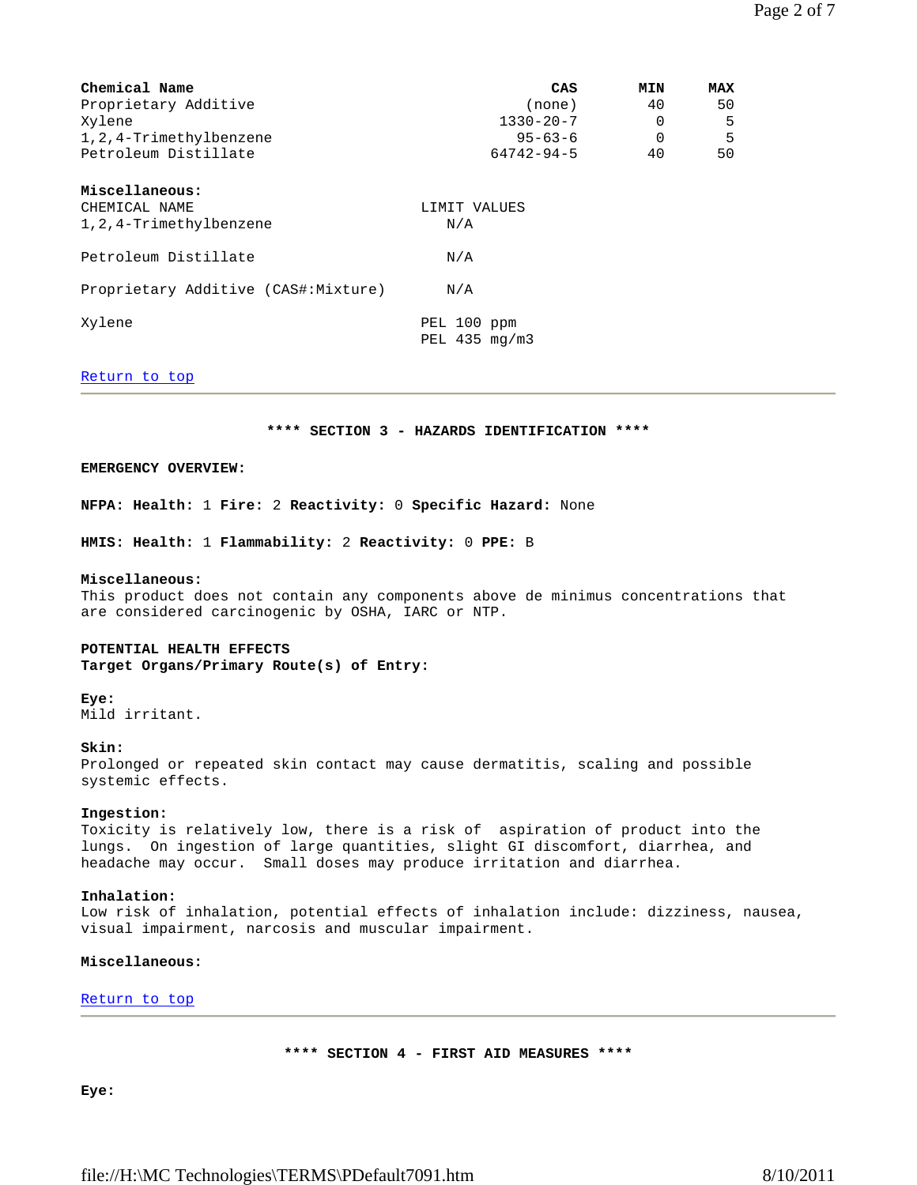| Chemical Name                       | CAS                                     | <b>MIN</b> | <b>MAX</b> |
|-------------------------------------|-----------------------------------------|------------|------------|
| Proprietary Additive                | (none)                                  | 40         | 50         |
| Xylene                              | $1330 - 20 - 7$                         | $\Omega$   | 5          |
| 1, 2, 4-Trimethylbenzene            | $95 - 63 - 6$                           | $\Omega$   | 5          |
| Petroleum Distillate                | $64742 - 94 - 5$                        | 40         | 50         |
| Miscellaneous:<br>CHEMICAL NAME     | LIMIT VALUES                            |            |            |
| 1, 2, 4-Trimethylbenzene            | N/A                                     |            |            |
| Petroleum Distillate                | N/A                                     |            |            |
| Proprietary Additive (CAS#:Mixture) | N/A                                     |            |            |
| Xylene                              | PEL 100 ppm<br>PEL $435 \text{ mg/m}$ 3 |            |            |

### Return to top

### **\*\*\*\* SECTION 3 - HAZARDS IDENTIFICATION \*\*\*\***

### **EMERGENCY OVERVIEW:**

**NFPA: Health:** 1 **Fire:** 2 **Reactivity:** 0 **Specific Hazard:** None

**HMIS: Health:** 1 **Flammability:** 2 **Reactivity:** 0 **PPE:** B

#### **Miscellaneous:**

This product does not contain any components above de minimus concentrations that are considered carcinogenic by OSHA, IARC or NTP.

### **POTENTIAL HEALTH EFFECTS**

**Target Organs/Primary Route(s) of Entry:**

### **Eye:**

Mild irritant.

### **Skin:**

Prolonged or repeated skin contact may cause dermatitis, scaling and possible systemic effects.

#### **Ingestion:**

Toxicity is relatively low, there is a risk of aspiration of product into the lungs. On ingestion of large quantities, slight GI discomfort, diarrhea, and headache may occur. Small doses may produce irritation and diarrhea.

### **Inhalation:**

Low risk of inhalation, potential effects of inhalation include: dizziness, nausea, visual impairment, narcosis and muscular impairment.

### **Miscellaneous:**

Return to top

**\*\*\*\* SECTION 4 - FIRST AID MEASURES \*\*\*\*** 

**Eye:**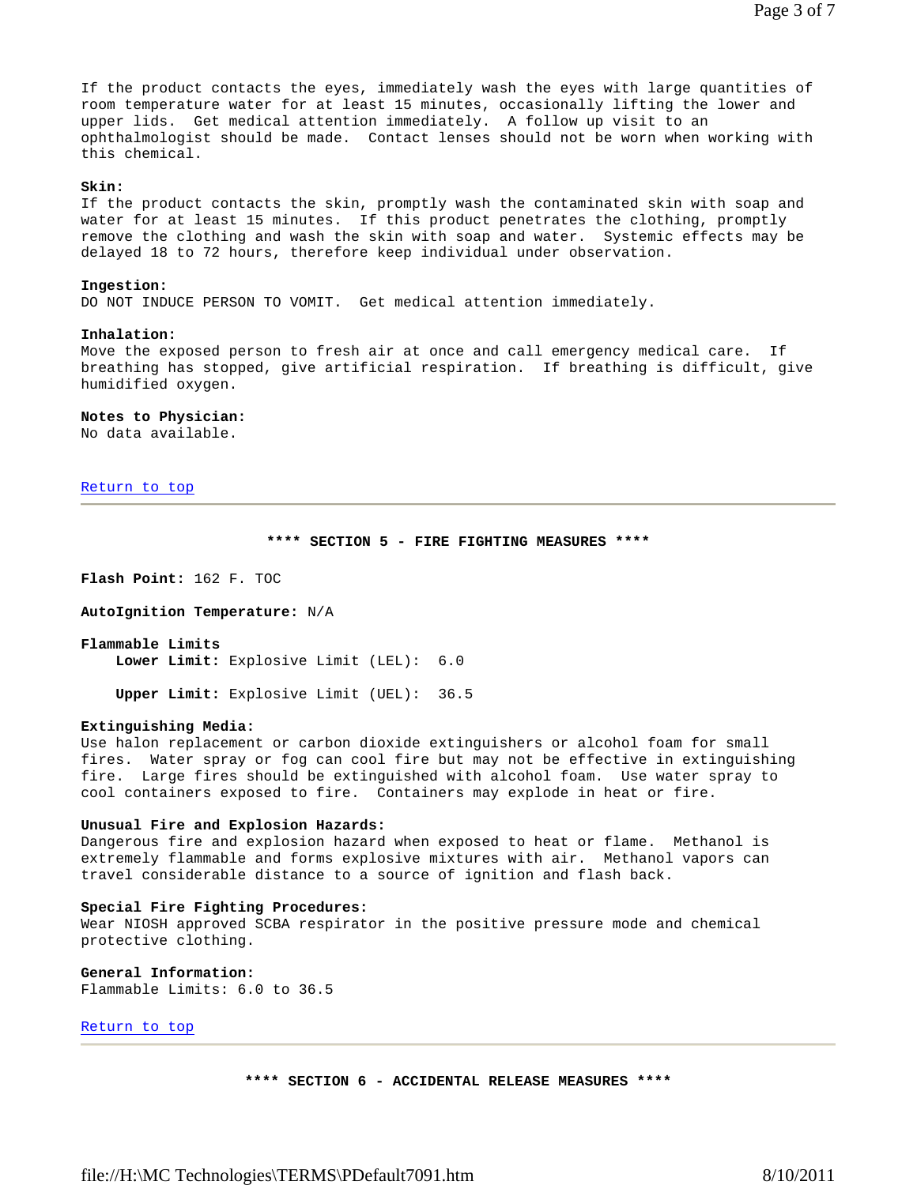If the product contacts the eyes, immediately wash the eyes with large quantities of room temperature water for at least 15 minutes, occasionally lifting the lower and upper lids. Get medical attention immediately. A follow up visit to an ophthalmologist should be made. Contact lenses should not be worn when working with this chemical.

### **Skin:**

If the product contacts the skin, promptly wash the contaminated skin with soap and water for at least 15 minutes. If this product penetrates the clothing, promptly remove the clothing and wash the skin with soap and water. Systemic effects may be delayed 18 to 72 hours, therefore keep individual under observation.

#### **Ingestion:**

DO NOT INDUCE PERSON TO VOMIT. Get medical attention immediately.

#### **Inhalation:**

Move the exposed person to fresh air at once and call emergency medical care. If breathing has stopped, give artificial respiration. If breathing is difficult, give humidified oxygen.

#### **Notes to Physician:**

No data available.

Return to top

### **\*\*\*\* SECTION 5 - FIRE FIGHTING MEASURES \*\*\*\***

**Flash Point:** 162 F. TOC

**AutoIgnition Temperature:** N/A

**Flammable Limits Lower Limit:** Explosive Limit (LEL): 6.0

**Upper Limit:** Explosive Limit (UEL): 36.5

### **Extinguishing Media:**

Use halon replacement or carbon dioxide extinguishers or alcohol foam for small fires. Water spray or fog can cool fire but may not be effective in extinguishing fire. Large fires should be extinguished with alcohol foam. Use water spray to cool containers exposed to fire. Containers may explode in heat or fire.

#### **Unusual Fire and Explosion Hazards:**

Dangerous fire and explosion hazard when exposed to heat or flame. Methanol is extremely flammable and forms explosive mixtures with air. Methanol vapors can travel considerable distance to a source of ignition and flash back.

### **Special Fire Fighting Procedures:**

Wear NIOSH approved SCBA respirator in the positive pressure mode and chemical protective clothing.

**General Information:** Flammable Limits: 6.0 to 36.5

Return to top

**\*\*\*\* SECTION 6 - ACCIDENTAL RELEASE MEASURES \*\*\*\***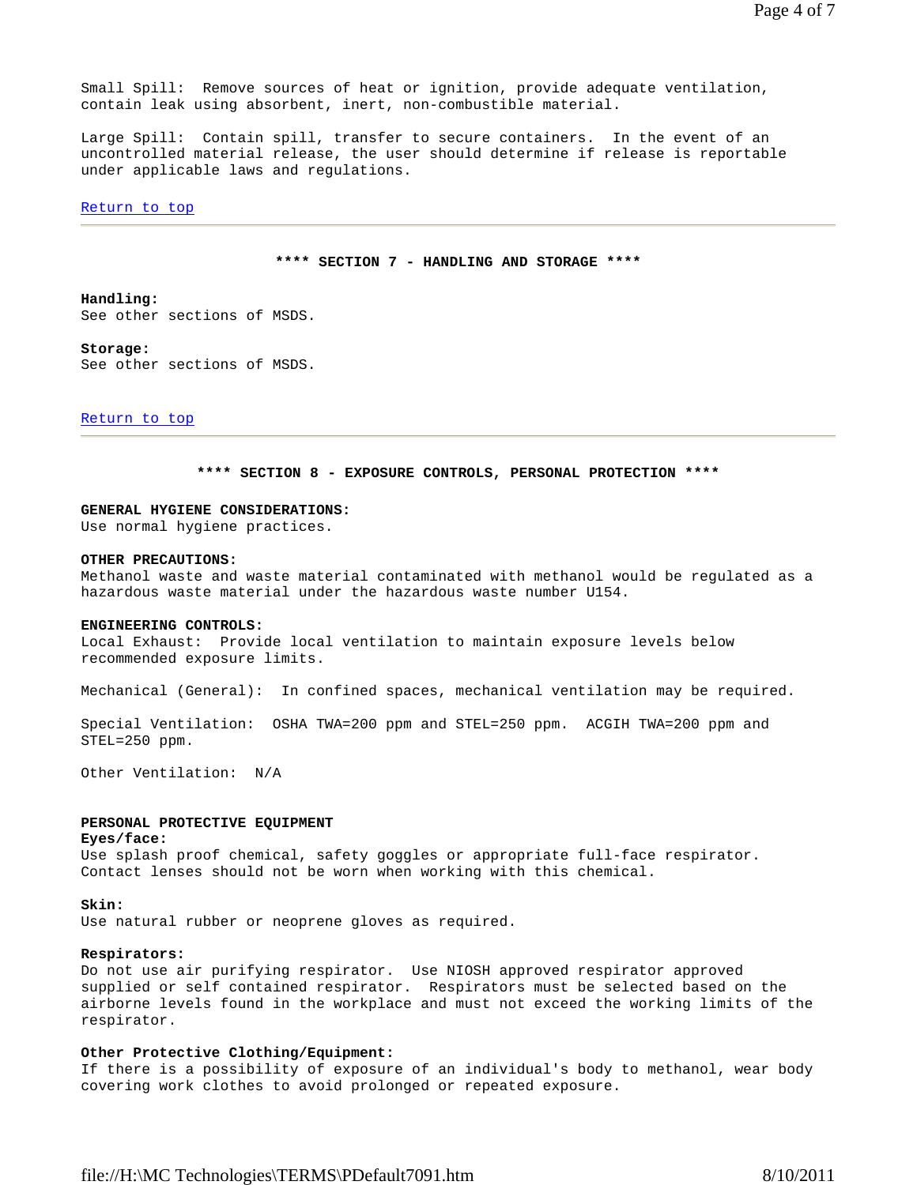Small Spill: Remove sources of heat or ignition, provide adequate ventilation, contain leak using absorbent, inert, non-combustible material.

Large Spill: Contain spill, transfer to secure containers. In the event of an uncontrolled material release, the user should determine if release is reportable under applicable laws and regulations.

#### Return to top

### **\*\*\*\* SECTION 7 - HANDLING AND STORAGE \*\*\*\***

### **Handling:** See other sections of MSDS.

**Storage:** See other sections of MSDS.

#### Return to top

#### **\*\*\*\* SECTION 8 - EXPOSURE CONTROLS, PERSONAL PROTECTION \*\*\*\***

### **GENERAL HYGIENE CONSIDERATIONS:**

Use normal hygiene practices.

#### **OTHER PRECAUTIONS:**

Methanol waste and waste material contaminated with methanol would be regulated as a hazardous waste material under the hazardous waste number U154.

#### **ENGINEERING CONTROLS:**

Local Exhaust: Provide local ventilation to maintain exposure levels below recommended exposure limits.

Mechanical (General): In confined spaces, mechanical ventilation may be required.

Special Ventilation: OSHA TWA=200 ppm and STEL=250 ppm. ACGIH TWA=200 ppm and STEL=250 ppm.

Other Ventilation: N/A

### **PERSONAL PROTECTIVE EQUIPMENT**

#### **Eyes/face:**

Use splash proof chemical, safety goggles or appropriate full-face respirator. Contact lenses should not be worn when working with this chemical.

#### **Skin:**

Use natural rubber or neoprene gloves as required.

#### **Respirators:**

Do not use air purifying respirator. Use NIOSH approved respirator approved supplied or self contained respirator. Respirators must be selected based on the airborne levels found in the workplace and must not exceed the working limits of the respirator.

### **Other Protective Clothing/Equipment:**

If there is a possibility of exposure of an individual's body to methanol, wear body covering work clothes to avoid prolonged or repeated exposure.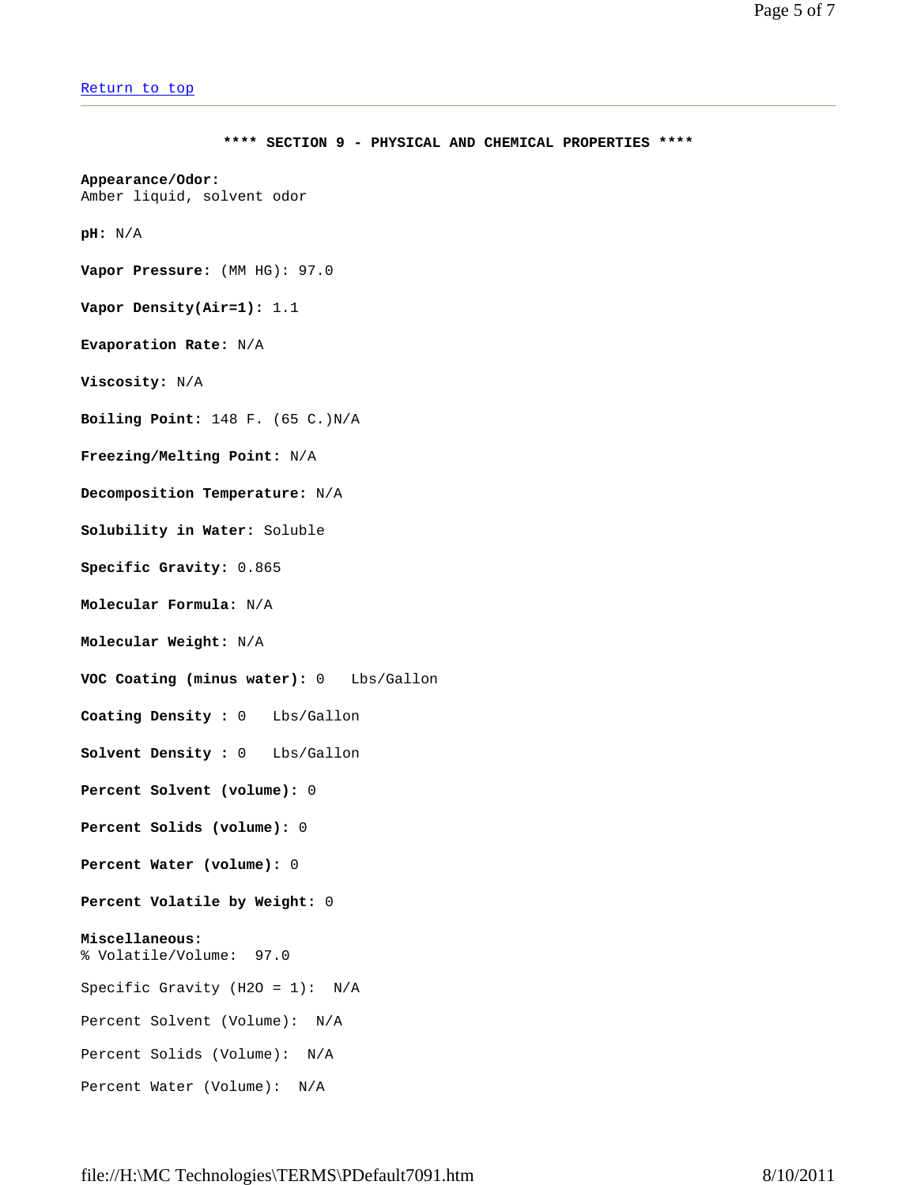```
Return to top
```
**\*\*\*\* SECTION 9 - PHYSICAL AND CHEMICAL PROPERTIES \*\*\*\* Appearance/Odor:** Amber liquid, solvent odor **pH:** N/A **Vapor Pressure:** (MM HG): 97.0 **Vapor Density(Air=1):** 1.1 **Evaporation Rate:** N/A **Viscosity:** N/A **Boiling Point:** 148 F. (65 C.)N/A **Freezing/Melting Point:** N/A **Decomposition Temperature:** N/A **Solubility in Water:** Soluble **Specific Gravity:** 0.865 **Molecular Formula:** N/A **Molecular Weight:** N/A **VOC Coating (minus water):** 0 Lbs/Gallon **Coating Density :** 0 Lbs/Gallon **Solvent Density :** 0 Lbs/Gallon **Percent Solvent (volume):** 0 **Percent Solids (volume):** 0 **Percent Water (volume):** 0 **Percent Volatile by Weight:** 0 **Miscellaneous:** % Volatile/Volume: 97.0 Specific Gravity (H2O = 1): N/A Percent Solvent (Volume): N/A Percent Solids (Volume): N/A Percent Water (Volume): N/A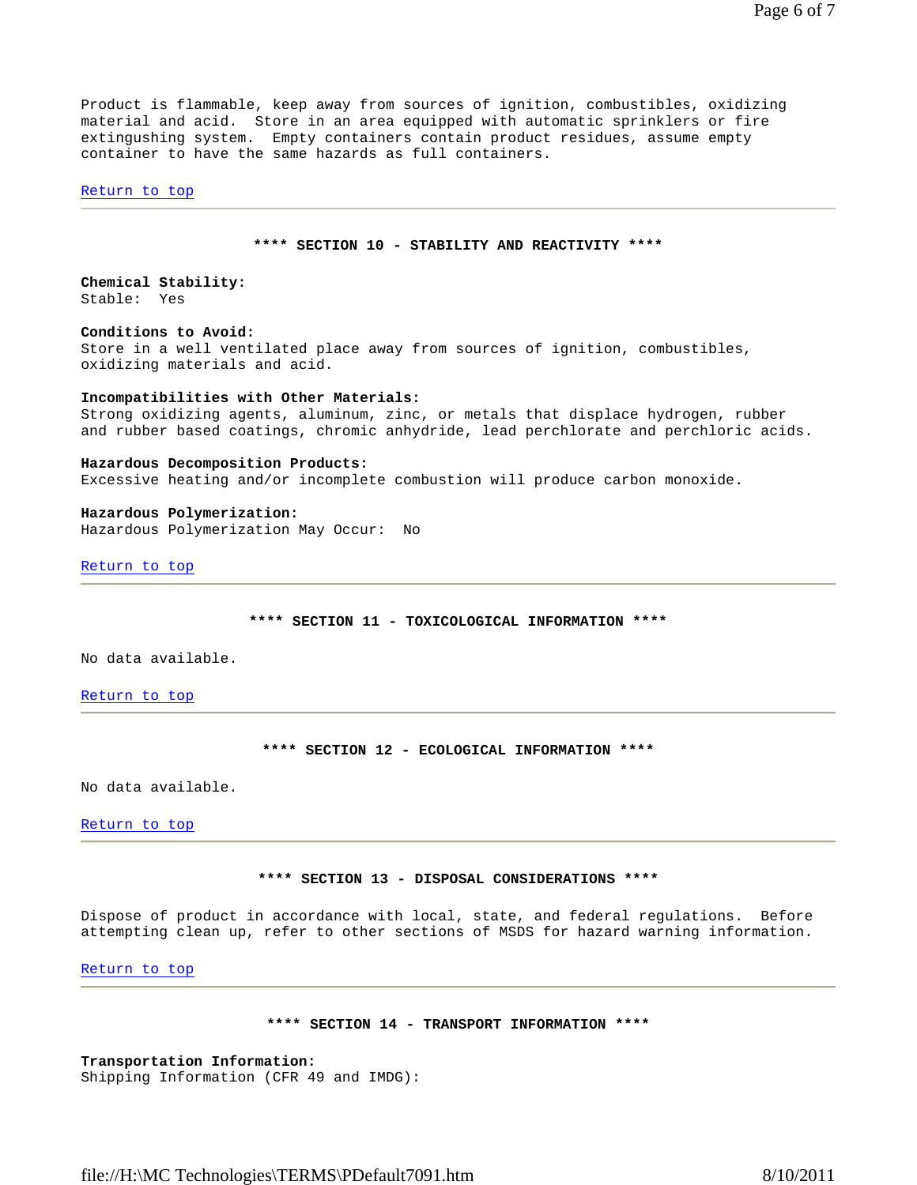Page 6 of 7

Product is flammable, keep away from sources of ignition, combustibles, oxidizing material and acid. Store in an area equipped with automatic sprinklers or fire extingushing system. Empty containers contain product residues, assume empty container to have the same hazards as full containers.

Return to top

### **\*\*\*\* SECTION 10 - STABILITY AND REACTIVITY \*\*\*\***

### **Chemical Stability:** Stable: Yes

# **Conditions to Avoid:**

Store in a well ventilated place away from sources of ignition, combustibles, oxidizing materials and acid.

#### **Incompatibilities with Other Materials:**

Strong oxidizing agents, aluminum, zinc, or metals that displace hydrogen, rubber and rubber based coatings, chromic anhydride, lead perchlorate and perchloric acids.

### **Hazardous Decomposition Products:**

Excessive heating and/or incomplete combustion will produce carbon monoxide.

#### **Hazardous Polymerization:**

Hazardous Polymerization May Occur: No

Return to top

**\*\*\*\* SECTION 11 - TOXICOLOGICAL INFORMATION \*\*\*\*** 

No data available.

Return to top

**\*\*\*\* SECTION 12 - ECOLOGICAL INFORMATION \*\*\*\*** 

No data available.

Return to top

# **\*\*\*\* SECTION 13 - DISPOSAL CONSIDERATIONS \*\*\*\***

Dispose of product in accordance with local, state, and federal regulations. Before attempting clean up, refer to other sections of MSDS for hazard warning information.

Return to top

### **\*\*\*\* SECTION 14 - TRANSPORT INFORMATION \*\*\*\***

**Transportation Information:** Shipping Information (CFR 49 and IMDG):

file://H:\MC Technologies\TERMS\PDefault7091.htm 8/10/2011